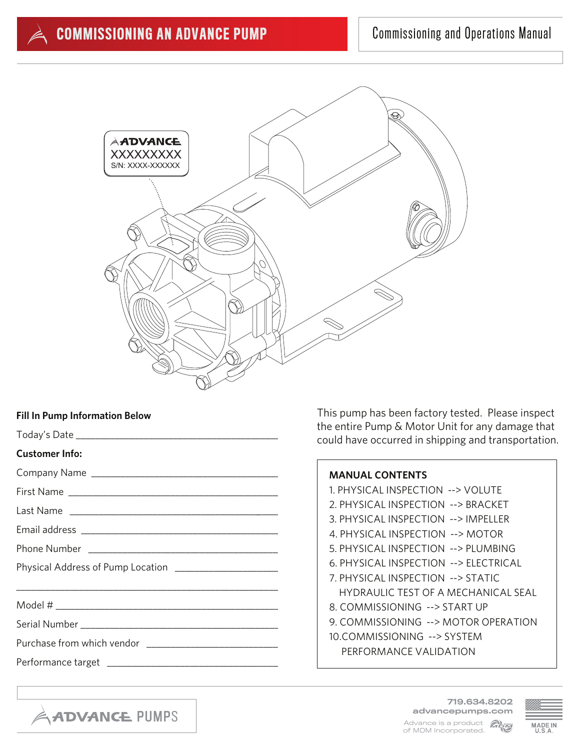

# **Fill In Pump Information Below**

|                                                        | the entire Pump & Motor Unit for any damage that<br>could have occurred in shipping and transportation. |
|--------------------------------------------------------|---------------------------------------------------------------------------------------------------------|
| Customer Info:                                         |                                                                                                         |
|                                                        | <b>MANUAL CONTENTS</b>                                                                                  |
|                                                        | 1. PHYSICAL INSPECTION --> VOLUTE                                                                       |
|                                                        | 2. PHYSICAL INSPECTION --> BRACKET                                                                      |
|                                                        | 3. PHYSICAL INSPECTION --> IMPELLER                                                                     |
|                                                        | 4. PHYSICAL INSPECTION --> MOTOR                                                                        |
|                                                        | 5. PHYSICAL INSPECTION --> PLUMBING                                                                     |
| Physical Address of Pump Location ____________________ | 6. PHYSICAL INSPECTION --> ELECTRICAL                                                                   |
|                                                        | 7. PHYSICAL INSPECTION --> STATIC                                                                       |
|                                                        | <b>HYDRAULIC TEST OF A MECHANICAL SEAL</b>                                                              |
|                                                        | 8. COMMISSIONING --> START UP                                                                           |
|                                                        | 9. COMMISSIONING --> MOTOR OPERATION                                                                    |
|                                                        | 10.COMMISSIONING --> SYSTEM                                                                             |
|                                                        | PERFORMANCE VALIDATION                                                                                  |
|                                                        |                                                                                                         |



This pump has been factory tested. Please inspect

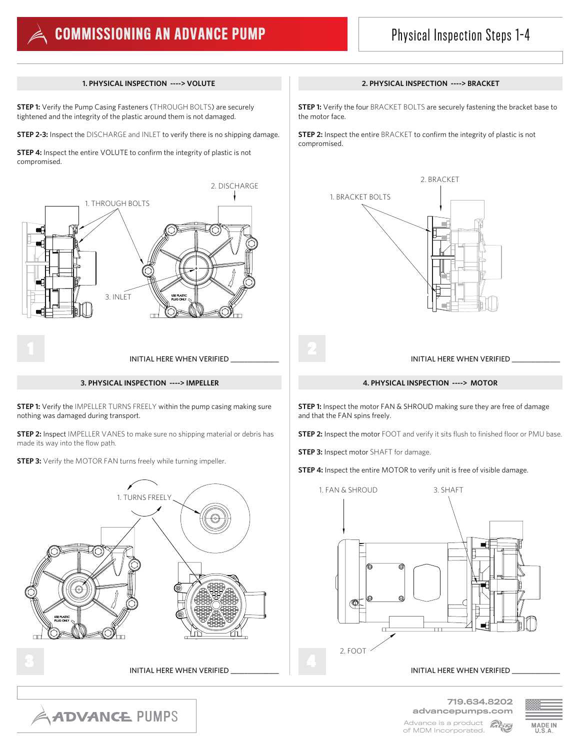

# **COMMISSIONING AN ADVANCE PUMP** Physical Inspection Steps 1-4

**STEP 1:** Verify the Pump Casing Fasteners (THROUGH BOLTS) are securely tightened and the integrity of the plastic around them is not damaged.

**STEP 2-3:** Inspect the DISCHARGE and INLET to verify there is no shipping damage.

**STEP 4:** Inspect the entire VOLUTE to confirm the integrity of plastic is not compromised.



# **3. PHYSICAL INSPECTION ----> IMPELLER 4. PHYSICAL INSPECTION ----> MOTOR**

**STEP 1:** Verify the IMPELLER TURNS FREELY within the pump casing making sure nothing was damaged during transport.

**STEP 2:** Inspect IMPELLER VANES to make sure no shipping material or debris has made its way into the flow path.

**STEP 3:** Verify the MOTOR FAN turns freely while turning impeller.



# **1. PHYSICAL INSPECTION ----> VOLUTE 2. PHYSICAL INSPECTION ----> BRACKET**

**STEP 1:** Verify the four BRACKET BOLTS are securely fastening the bracket base to the motor face.

**STEP 2:** Inspect the entire BRACKET to confirm the integrity of plastic is not compromised.



**STEP 1:** Inspect the motor FAN & SHROUD making sure they are free of damage and that the FAN spins freely.

**STEP 2:** Inspect the motor FOOT and verify it sits flush to finished floor or PMU base.

**STEP 3:** Inspect motor SHAFT for damage.

**STEP 4:** Inspect the entire MOTOR to verify unit is free of visible damage.



INITIAL HERE WHEN VERIFIED \_





**ADVANCE PUMPS** 

of MDM Incorporated.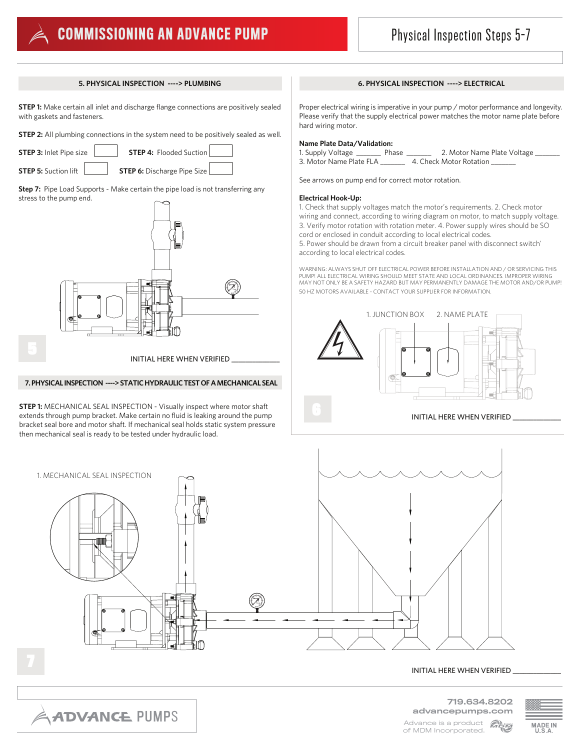# **COMMISSIONING AN ADVANCE PUMP** Physical Inspection Steps 5-7

**STEP 1:** Make certain all inlet and discharge flange connections are positively sealed with gaskets and fasteners.

**STEP 2:** All plumbing connections in the system need to be positively sealed as well.

**STEP 3:** Inlet Pipe size **STEP 4:** Flooded Suction

**STEP 5:** Suction lift **STEP 6:** Discharge Pipe Size

**Step 7:** Pipe Load Supports - Make certain the pipe load is not transferring any stress to the pump end.



# **7. PHYSICAL INSPECTION ----> STATIC HYDRAULIC TEST OF A MECHANICAL SEAL**

**STEP 1:** MECHANICAL SEAL INSPECTION - Visually inspect where motor shaft extends through pump bracket. Make certain no fluid is leaking around the pump bracket seal bore and motor shaft. If mechanical seal holds static system pressure then mechanical seal is ready to be tested under hydraulic load.

# **5. PHYSICAL INSPECTION ----> PLUMBING 6. PHYSICAL INSPECTION ----> ELECTRICAL**

Proper electrical wiring is imperative in your pump / motor performance and longevity. Please verify that the supply electrical power matches the motor name plate before hard wiring motor.

# **Name Plate Data/Validation:**

1. Supply Voltage \_\_\_\_\_\_\_ Phase \_\_\_\_\_\_\_ 2. Motor Name Plate Voltage \_\_\_\_\_\_\_ 3. Motor Name Plate FLA \_\_\_\_\_\_\_ 4. Check Motor Rotation \_\_\_\_\_\_\_

See arrows on pump end for correct motor rotation.

# **Electrical Hook-Up:**

1. Check that supply voltages match the motor's requirements. 2. Check motor wiring and connect, according to wiring diagram on motor, to match supply voltage. 3. Verify motor rotation with rotation meter. 4. Power supply wires should be SO cord or enclosed in conduit according to local electrical codes. 5. Power should be drawn from a circuit breaker panel with disconnect switch'

according to local electrical codes.

WARNING: ALWAYS SHUT OFF ELECTRICAL POWER BEFORE INSTALLATION AND / OR SERVICING THIS PUMP! ALL ELECTRICAL WIRING SHOULD MEET STATE AND LOCAL ORDINANCES. IMPROPER WIRING MAY NOT ONLY BE A SAFETY HAZARD BUT MAY PERMANENTLY DAMAGE THE MOTOR AND/OR PUMP! 50 HZ MOTORS AVAILABLE - CONTACT YOUR SUPPLIER FOR INFORMATION.



# 1. MECHANICAL SEAL INSPECTION

# INITIAL HERE WHEN VERIFIED

719.634.8202 advancepumps.com Advance is a product **Algo** 



**ADVANCE PUMPS** 

of MDM Incorporated.